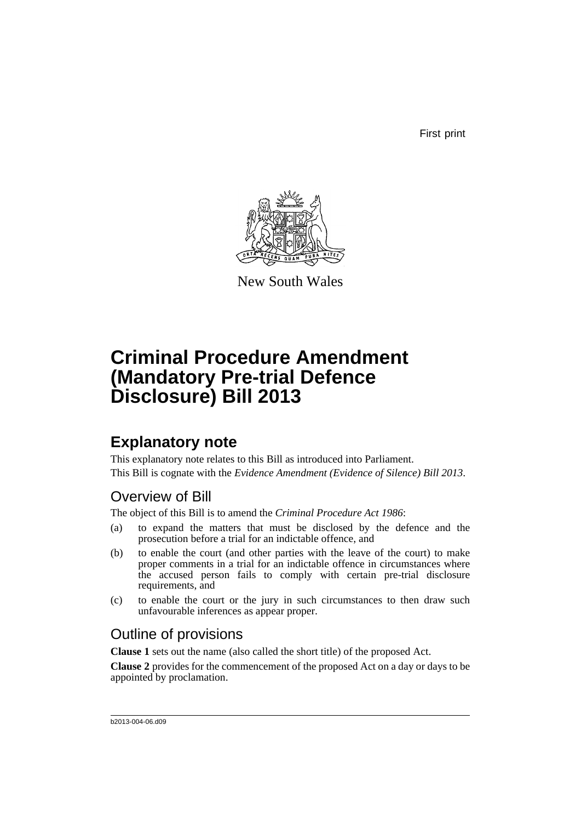First print



New South Wales

# **Criminal Procedure Amendment (Mandatory Pre-trial Defence Disclosure) Bill 2013**

## **Explanatory note**

This explanatory note relates to this Bill as introduced into Parliament. This Bill is cognate with the *Evidence Amendment (Evidence of Silence) Bill 2013*.

### Overview of Bill

The object of this Bill is to amend the *Criminal Procedure Act 1986*:

- (a) to expand the matters that must be disclosed by the defence and the prosecution before a trial for an indictable offence, and
- (b) to enable the court (and other parties with the leave of the court) to make proper comments in a trial for an indictable offence in circumstances where the accused person fails to comply with certain pre-trial disclosure requirements, and
- (c) to enable the court or the jury in such circumstances to then draw such unfavourable inferences as appear proper.

## Outline of provisions

**Clause 1** sets out the name (also called the short title) of the proposed Act.

**Clause 2** provides for the commencement of the proposed Act on a day or days to be appointed by proclamation.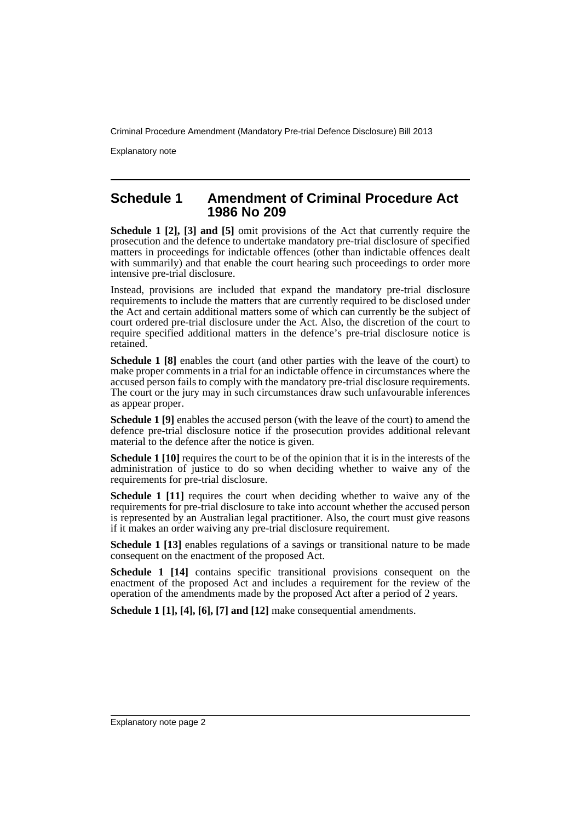Explanatory note

#### **Schedule 1 Amendment of Criminal Procedure Act 1986 No 209**

**Schedule 1 [2], [3] and [5]** omit provisions of the Act that currently require the prosecution and the defence to undertake mandatory pre-trial disclosure of specified matters in proceedings for indictable offences (other than indictable offences dealt with summarily) and that enable the court hearing such proceedings to order more intensive pre-trial disclosure.

Instead, provisions are included that expand the mandatory pre-trial disclosure requirements to include the matters that are currently required to be disclosed under the Act and certain additional matters some of which can currently be the subject of court ordered pre-trial disclosure under the Act. Also, the discretion of the court to require specified additional matters in the defence's pre-trial disclosure notice is retained.

**Schedule 1 [8]** enables the court (and other parties with the leave of the court) to make proper comments in a trial for an indictable offence in circumstances where the accused person fails to comply with the mandatory pre-trial disclosure requirements. The court or the jury may in such circumstances draw such unfavourable inferences as appear proper.

**Schedule 1 [9]** enables the accused person (with the leave of the court) to amend the defence pre-trial disclosure notice if the prosecution provides additional relevant material to the defence after the notice is given.

**Schedule 1 [10]** requires the court to be of the opinion that it is in the interests of the administration of justice to do so when deciding whether to waive any of the requirements for pre-trial disclosure.

**Schedule 1 [11]** requires the court when deciding whether to waive any of the requirements for pre-trial disclosure to take into account whether the accused person is represented by an Australian legal practitioner. Also, the court must give reasons if it makes an order waiving any pre-trial disclosure requirement.

**Schedule 1 [13]** enables regulations of a savings or transitional nature to be made consequent on the enactment of the proposed Act.

**Schedule 1 [14]** contains specific transitional provisions consequent on the enactment of the proposed Act and includes a requirement for the review of the operation of the amendments made by the proposed Act after a period of 2 years.

**Schedule 1 [1], [4], [6], [7] and [12]** make consequential amendments.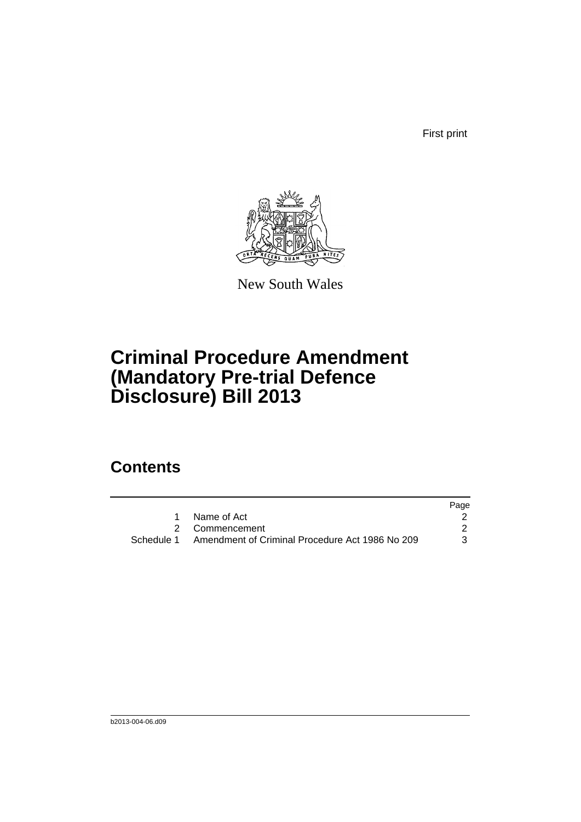First print



New South Wales

# **Criminal Procedure Amendment (Mandatory Pre-trial Defence Disclosure) Bill 2013**

## **Contents**

|                                                            | Page |
|------------------------------------------------------------|------|
| Name of Act                                                |      |
| 2 Commencement                                             |      |
| Schedule 1 Amendment of Criminal Procedure Act 1986 No 209 | 3    |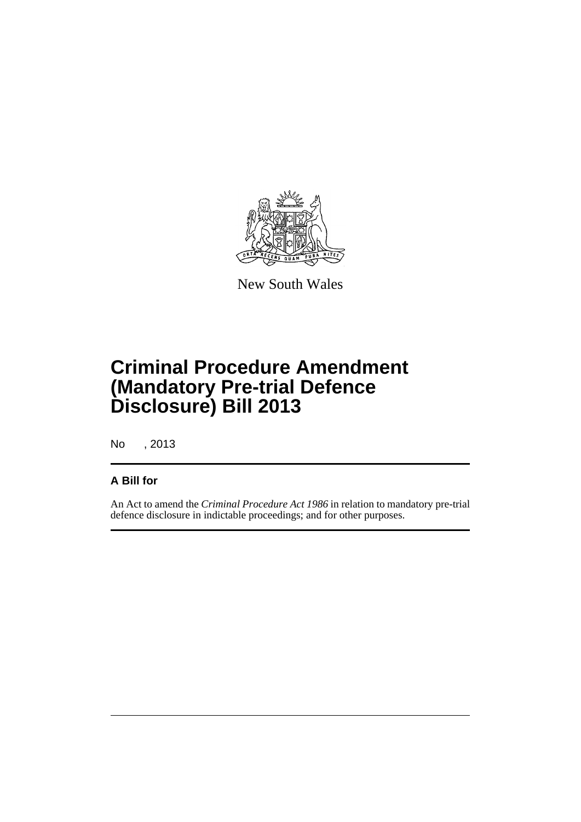

New South Wales

# **Criminal Procedure Amendment (Mandatory Pre-trial Defence Disclosure) Bill 2013**

No , 2013

#### **A Bill for**

An Act to amend the *Criminal Procedure Act 1986* in relation to mandatory pre-trial defence disclosure in indictable proceedings; and for other purposes.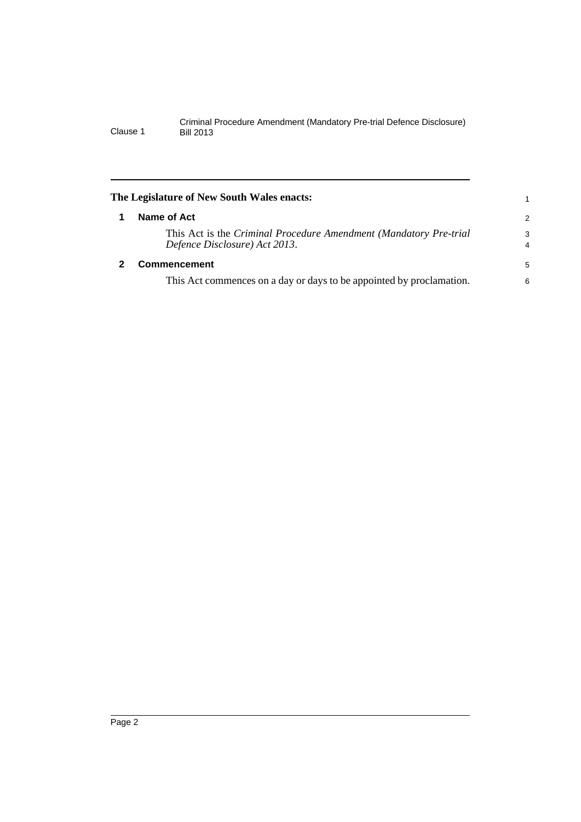<span id="page-5-1"></span><span id="page-5-0"></span>

| The Legislature of New South Wales enacts: |                                                                                                    |                     |  |  |  |  |
|--------------------------------------------|----------------------------------------------------------------------------------------------------|---------------------|--|--|--|--|
|                                            | Name of Act                                                                                        | 2                   |  |  |  |  |
|                                            | This Act is the Criminal Procedure Amendment (Mandatory Pre-trial<br>Defence Disclosure) Act 2013. | 3<br>$\overline{4}$ |  |  |  |  |
|                                            | <b>Commencement</b>                                                                                | 5                   |  |  |  |  |
|                                            | This Act commences on a day or days to be appointed by proclamation.                               | 6                   |  |  |  |  |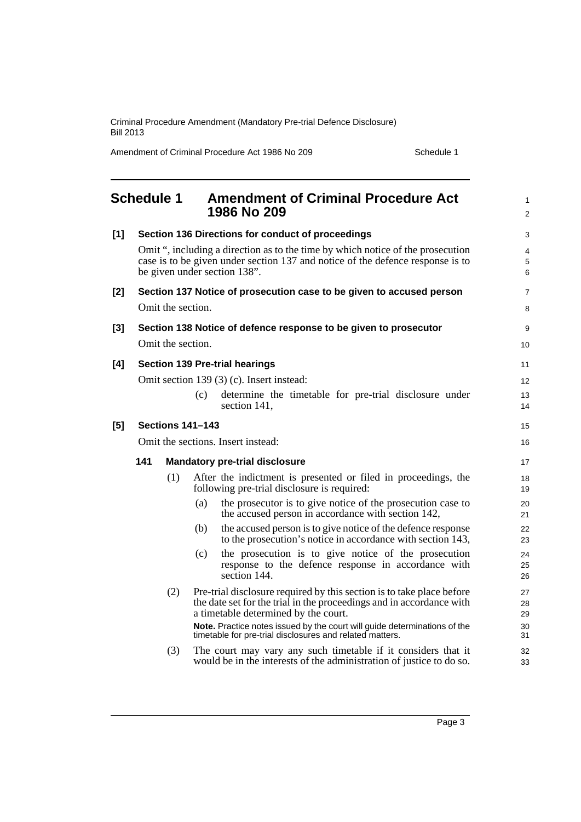<span id="page-6-0"></span>

|       | <b>Schedule 1</b>       |                   |     | <b>Amendment of Criminal Procedure Act</b><br>1986 No 209                                                                                                                                         | $\mathbf{1}$<br>$\overline{2}$ |
|-------|-------------------------|-------------------|-----|---------------------------------------------------------------------------------------------------------------------------------------------------------------------------------------------------|--------------------------------|
| [1]   |                         |                   |     | Section 136 Directions for conduct of proceedings                                                                                                                                                 | 3                              |
|       |                         |                   |     | Omit ", including a direction as to the time by which notice of the prosecution<br>case is to be given under section 137 and notice of the defence response is to<br>be given under section 138". | 4<br>5<br>6                    |
| $[2]$ |                         |                   |     | Section 137 Notice of prosecution case to be given to accused person                                                                                                                              | 7                              |
|       |                         | Omit the section. |     |                                                                                                                                                                                                   | 8                              |
| $[3]$ |                         |                   |     | Section 138 Notice of defence response to be given to prosecutor                                                                                                                                  | 9                              |
|       |                         | Omit the section. |     |                                                                                                                                                                                                   | 10                             |
| [4]   |                         |                   |     | <b>Section 139 Pre-trial hearings</b>                                                                                                                                                             | 11                             |
|       |                         |                   |     | Omit section 139 (3) (c). Insert instead:                                                                                                                                                         | 12                             |
|       |                         |                   | (c) | determine the timetable for pre-trial disclosure under<br>section 141,                                                                                                                            | 13<br>14                       |
| [5]   | <b>Sections 141-143</b> |                   |     |                                                                                                                                                                                                   |                                |
|       |                         |                   |     | Omit the sections. Insert instead:                                                                                                                                                                | 16                             |
|       | 141                     |                   |     | <b>Mandatory pre-trial disclosure</b>                                                                                                                                                             | 17                             |
|       |                         | (1)               |     | After the indictment is presented or filed in proceedings, the<br>following pre-trial disclosure is required:                                                                                     | 18<br>19                       |
|       |                         |                   | (a) | the prosecutor is to give notice of the prosecution case to<br>the accused person in accordance with section 142,                                                                                 | 20<br>21                       |
|       |                         |                   | (b) | the accused person is to give notice of the defence response<br>to the prosecution's notice in accordance with section 143,                                                                       | 22<br>23                       |
|       |                         |                   | (c) | the prosecution is to give notice of the prosecution<br>response to the defence response in accordance with<br>section 144.                                                                       | 24<br>25<br>26                 |
|       |                         | (2)               |     | Pre-trial disclosure required by this section is to take place before<br>the date set for the trial in the proceedings and in accordance with<br>a timetable determined by the court.             | 27<br>28<br>29                 |
|       |                         |                   |     | Note. Practice notes issued by the court will guide determinations of the<br>timetable for pre-trial disclosures and related matters.                                                             | 30<br>31                       |
|       |                         | (3)               |     | The court may vary any such timetable if it considers that it<br>would be in the interests of the administration of justice to do so.                                                             | 32<br>33                       |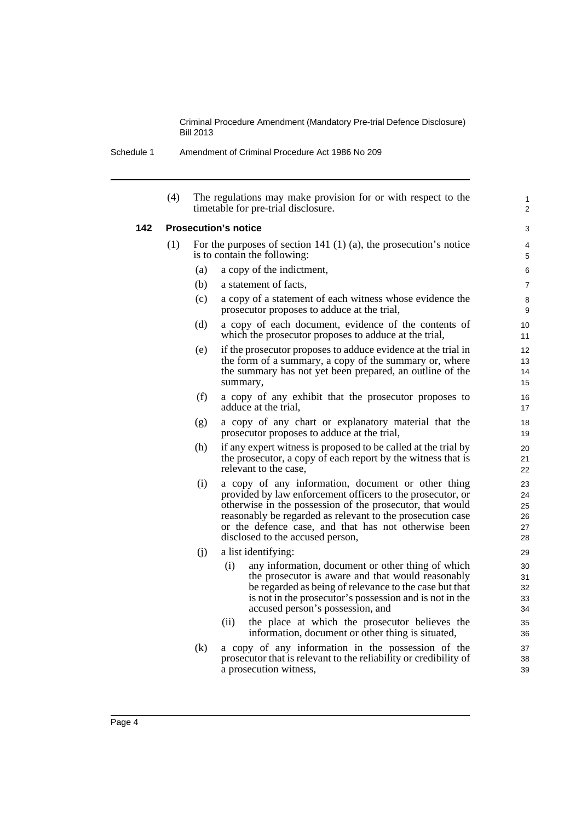| Schedule 1 | Amendment of Criminal Procedure Act 1986 No 209 |  |
|------------|-------------------------------------------------|--|
|            |                                                 |  |

| (4) |                                                                                                        | The regulations may make provision for or with respect to the<br>timetable for pre-trial disclosure.                                                                                                                                                                                                                                    | 1<br>2                           |  |  |  |
|-----|--------------------------------------------------------------------------------------------------------|-----------------------------------------------------------------------------------------------------------------------------------------------------------------------------------------------------------------------------------------------------------------------------------------------------------------------------------------|----------------------------------|--|--|--|
|     |                                                                                                        | <b>Prosecution's notice</b>                                                                                                                                                                                                                                                                                                             | 3                                |  |  |  |
| (1) | For the purposes of section 141 $(1)$ $(a)$ , the prosecution's notice<br>is to contain the following: |                                                                                                                                                                                                                                                                                                                                         |                                  |  |  |  |
|     | (a)                                                                                                    | a copy of the indictment,                                                                                                                                                                                                                                                                                                               | 6                                |  |  |  |
|     | (b)                                                                                                    | a statement of facts.                                                                                                                                                                                                                                                                                                                   | 7                                |  |  |  |
|     | (c)                                                                                                    | a copy of a statement of each witness whose evidence the<br>prosecutor proposes to adduce at the trial,                                                                                                                                                                                                                                 | 8<br>9                           |  |  |  |
|     | (d)                                                                                                    | a copy of each document, evidence of the contents of<br>which the prosecutor proposes to adduce at the trial,                                                                                                                                                                                                                           | 10<br>11                         |  |  |  |
|     | (e)                                                                                                    | if the prosecutor proposes to adduce evidence at the trial in<br>the form of a summary, a copy of the summary or, where<br>the summary has not yet been prepared, an outline of the<br>summary,                                                                                                                                         | 12<br>13<br>14<br>15             |  |  |  |
|     | (f)                                                                                                    | a copy of any exhibit that the prosecutor proposes to<br>adduce at the trial,                                                                                                                                                                                                                                                           | 16<br>17                         |  |  |  |
|     | (g)                                                                                                    | a copy of any chart or explanatory material that the<br>prosecutor proposes to adduce at the trial,                                                                                                                                                                                                                                     | 18<br>19                         |  |  |  |
|     | (h)                                                                                                    | if any expert witness is proposed to be called at the trial by<br>the prosecutor, a copy of each report by the witness that is<br>relevant to the case.                                                                                                                                                                                 | 20<br>21<br>22                   |  |  |  |
|     | (i)                                                                                                    | a copy of any information, document or other thing<br>provided by law enforcement officers to the prosecutor, or<br>otherwise in the possession of the prosecutor, that would<br>reasonably be regarded as relevant to the prosecution case<br>or the defence case, and that has not otherwise been<br>disclosed to the accused person, | 23<br>24<br>25<br>26<br>27<br>28 |  |  |  |
|     | (i)                                                                                                    | a list identifying:                                                                                                                                                                                                                                                                                                                     | 29                               |  |  |  |
|     |                                                                                                        | (i)<br>any information, document or other thing of which<br>the prosecutor is aware and that would reasonably<br>be regarded as being of relevance to the case but that<br>is not in the prosecutor's possession and is not in the<br>accused person's possession, and                                                                  | 30<br>31<br>32<br>33<br>34       |  |  |  |
|     |                                                                                                        | (ii)<br>the place at which the prosecutor believes the<br>information, document or other thing is situated,                                                                                                                                                                                                                             | 35<br>36                         |  |  |  |
|     | (k)                                                                                                    | a copy of any information in the possession of the<br>prosecutor that is relevant to the reliability or credibility of<br>a prosecution witness,                                                                                                                                                                                        | 37<br>38<br>39                   |  |  |  |

**142**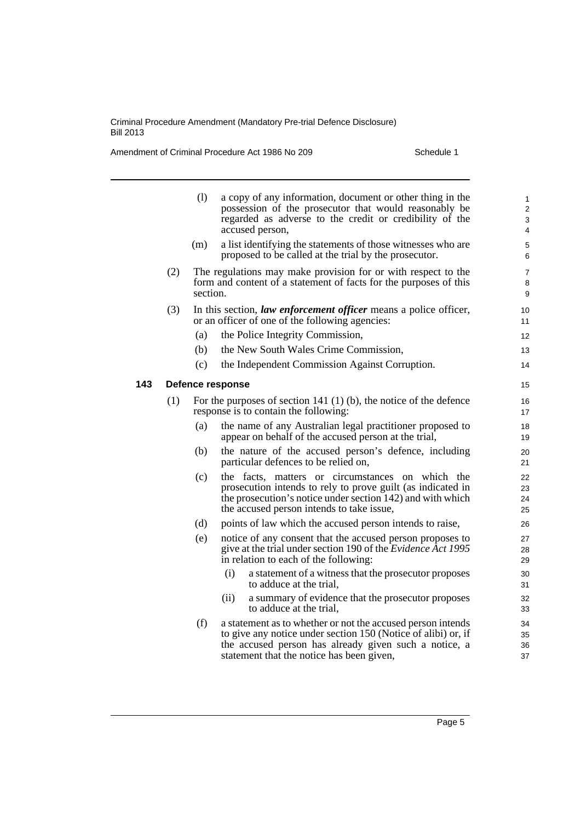|     |     | (1)      | a copy of any information, document or other thing in the<br>possession of the prosecutor that would reasonably be<br>regarded as adverse to the credit or credibility of the<br>accused person,                                   | $\mathbf{1}$<br>$\overline{2}$<br>3<br>4 |
|-----|-----|----------|------------------------------------------------------------------------------------------------------------------------------------------------------------------------------------------------------------------------------------|------------------------------------------|
|     |     | (m)      | a list identifying the statements of those witnesses who are<br>proposed to be called at the trial by the prosecutor.                                                                                                              | 5<br>6                                   |
|     | (2) | section. | The regulations may make provision for or with respect to the<br>form and content of a statement of facts for the purposes of this                                                                                                 | 7<br>8<br>9                              |
|     | (3) |          | In this section, law enforcement officer means a police officer,<br>or an officer of one of the following agencies:                                                                                                                | 10<br>11                                 |
|     |     | (a)      | the Police Integrity Commission,                                                                                                                                                                                                   | 12                                       |
|     |     | (b)      | the New South Wales Crime Commission,                                                                                                                                                                                              | 13                                       |
|     |     | (c)      | the Independent Commission Against Corruption.                                                                                                                                                                                     | 14                                       |
| 143 |     |          | <b>Defence response</b>                                                                                                                                                                                                            | 15                                       |
|     | (1) |          | For the purposes of section 141 $(1)$ (b), the notice of the defence<br>response is to contain the following:                                                                                                                      | 16<br>17                                 |
|     |     | (a)      | the name of any Australian legal practitioner proposed to<br>appear on behalf of the accused person at the trial,                                                                                                                  | 18<br>19                                 |
|     |     | (b)      | the nature of the accused person's defence, including<br>particular defences to be relied on,                                                                                                                                      | 20<br>21                                 |
|     |     | (c)      | the facts, matters or circumstances on which the<br>prosecution intends to rely to prove guilt (as indicated in<br>the prosecution's notice under section 142) and with which<br>the accused person intends to take issue,         | 22<br>23<br>24<br>25                     |
|     |     | (d)      | points of law which the accused person intends to raise,                                                                                                                                                                           | 26                                       |
|     |     | (e)      | notice of any consent that the accused person proposes to<br>give at the trial under section 190 of the <i>Evidence Act 1995</i><br>in relation to each of the following:                                                          | 27<br>28<br>29                           |
|     |     |          | (i)<br>a statement of a witness that the prosecutor proposes<br>to adduce at the trial,                                                                                                                                            | 30<br>31                                 |
|     |     |          | a summary of evidence that the prosecutor proposes<br>(ii)<br>to adduce at the trial.                                                                                                                                              | 32<br>33                                 |
|     |     | (f)      | a statement as to whether or not the accused person intends<br>to give any notice under section 150 (Notice of alibi) or, if<br>the accused person has already given such a notice, a<br>statement that the notice has been given, | 34<br>35<br>36<br>37                     |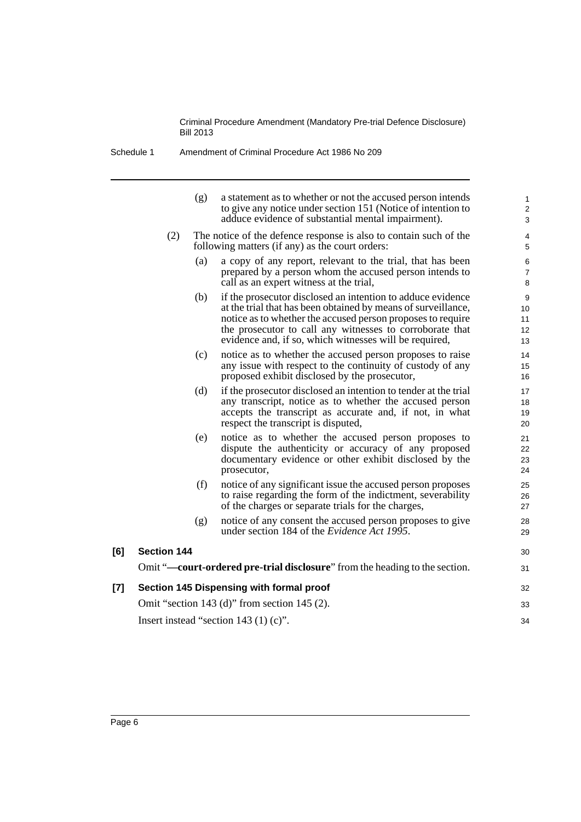| Schedule 1 | Amendment of Criminal Procedure Act 1986 No 209 |  |
|------------|-------------------------------------------------|--|
|------------|-------------------------------------------------|--|

|       |                    | (g) | a statement as to whether or not the accused person intends<br>to give any notice under section 151 (Notice of intention to<br>adduce evidence of substantial mental impairment).                                                                                                                                 | 1<br>$\overline{\mathbf{c}}$<br>3 |
|-------|--------------------|-----|-------------------------------------------------------------------------------------------------------------------------------------------------------------------------------------------------------------------------------------------------------------------------------------------------------------------|-----------------------------------|
|       | (2)                |     | The notice of the defence response is also to contain such of the<br>following matters (if any) as the court orders:                                                                                                                                                                                              | 4<br>5                            |
|       |                    | (a) | a copy of any report, relevant to the trial, that has been<br>prepared by a person whom the accused person intends to<br>call as an expert witness at the trial,                                                                                                                                                  | 6<br>$\overline{7}$<br>8          |
|       |                    | (b) | if the prosecutor disclosed an intention to adduce evidence<br>at the trial that has been obtained by means of surveillance,<br>notice as to whether the accused person proposes to require<br>the prosecutor to call any witnesses to corroborate that<br>evidence and, if so, which witnesses will be required, | 9<br>10<br>11<br>12<br>13         |
|       |                    | (c) | notice as to whether the accused person proposes to raise<br>any issue with respect to the continuity of custody of any<br>proposed exhibit disclosed by the prosecutor,                                                                                                                                          | 14<br>15<br>16                    |
|       |                    | (d) | if the prosecutor disclosed an intention to tender at the trial<br>any transcript, notice as to whether the accused person<br>accepts the transcript as accurate and, if not, in what<br>respect the transcript is disputed,                                                                                      | 17<br>18<br>19<br>20              |
|       |                    | (e) | notice as to whether the accused person proposes to<br>dispute the authenticity or accuracy of any proposed<br>documentary evidence or other exhibit disclosed by the<br>prosecutor,                                                                                                                              | 21<br>22<br>23<br>24              |
|       |                    | (f) | notice of any significant issue the accused person proposes<br>to raise regarding the form of the indictment, severability<br>of the charges or separate trials for the charges,                                                                                                                                  | 25<br>26<br>27                    |
|       |                    | (g) | notice of any consent the accused person proposes to give<br>under section 184 of the Evidence Act 1995.                                                                                                                                                                                                          | 28<br>29                          |
| [6]   | <b>Section 144</b> |     |                                                                                                                                                                                                                                                                                                                   | 30                                |
|       |                    |     | Omit "—court-ordered pre-trial disclosure" from the heading to the section.                                                                                                                                                                                                                                       | 31                                |
| $[7]$ |                    |     | Section 145 Dispensing with formal proof                                                                                                                                                                                                                                                                          | 32                                |
|       |                    |     | Omit "section 143 (d)" from section 145 (2).                                                                                                                                                                                                                                                                      | 33                                |

34

Insert instead "section 143 (1) (c)".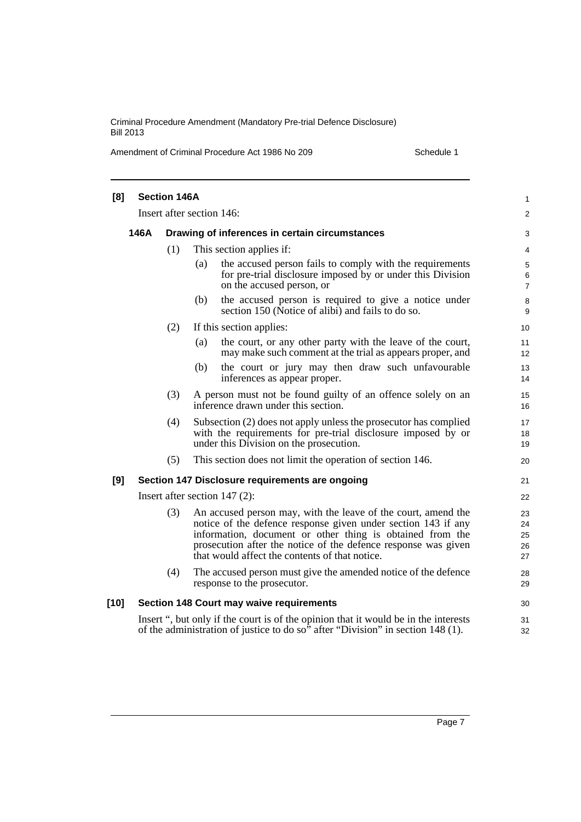| [8]    |                                                        | <b>Section 146A</b> |                           |                                                                                                                                                                                                                                                                                                                 | 1                          |
|--------|--------------------------------------------------------|---------------------|---------------------------|-----------------------------------------------------------------------------------------------------------------------------------------------------------------------------------------------------------------------------------------------------------------------------------------------------------------|----------------------------|
|        |                                                        |                     | Insert after section 146: |                                                                                                                                                                                                                                                                                                                 | $\overline{2}$             |
|        | 146A<br>Drawing of inferences in certain circumstances |                     |                           |                                                                                                                                                                                                                                                                                                                 | 3                          |
|        |                                                        | (1)                 |                           | This section applies if:                                                                                                                                                                                                                                                                                        | 4                          |
|        |                                                        |                     | (a)                       | the accused person fails to comply with the requirements<br>for pre-trial disclosure imposed by or under this Division<br>on the accused person, or                                                                                                                                                             | 5<br>6<br>$\overline{7}$   |
|        |                                                        |                     | (b)                       | the accused person is required to give a notice under<br>section 150 (Notice of alibi) and fails to do so.                                                                                                                                                                                                      | 8<br>9                     |
|        |                                                        | (2)                 |                           | If this section applies:                                                                                                                                                                                                                                                                                        | 10                         |
|        |                                                        |                     | (a)                       | the court, or any other party with the leave of the court,<br>may make such comment at the trial as appears proper, and                                                                                                                                                                                         | 11<br>12                   |
|        |                                                        |                     | (b)                       | the court or jury may then draw such unfavourable<br>inferences as appear proper.                                                                                                                                                                                                                               | 13<br>14                   |
|        |                                                        | (3)                 |                           | A person must not be found guilty of an offence solely on an<br>inference drawn under this section.                                                                                                                                                                                                             | 15<br>16                   |
|        |                                                        | (4)                 |                           | Subsection (2) does not apply unless the prosecutor has complied<br>with the requirements for pre-trial disclosure imposed by or<br>under this Division on the prosecution.                                                                                                                                     | 17<br>18<br>19             |
|        |                                                        | (5)                 |                           | This section does not limit the operation of section 146.                                                                                                                                                                                                                                                       | 20                         |
| [9]    |                                                        |                     |                           | Section 147 Disclosure requirements are ongoing                                                                                                                                                                                                                                                                 | 21                         |
|        |                                                        |                     |                           | Insert after section $147(2)$ :                                                                                                                                                                                                                                                                                 | 22                         |
|        |                                                        | (3)                 |                           | An accused person may, with the leave of the court, amend the<br>notice of the defence response given under section 143 if any<br>information, document or other thing is obtained from the<br>prosecution after the notice of the defence response was given<br>that would affect the contents of that notice. | 23<br>24<br>25<br>26<br>27 |
|        |                                                        | (4)                 |                           | The accused person must give the amended notice of the defence<br>response to the prosecutor.                                                                                                                                                                                                                   | 28<br>29                   |
| $[10]$ |                                                        |                     |                           | Section 148 Court may waive requirements                                                                                                                                                                                                                                                                        | 30                         |
|        |                                                        |                     |                           | Insert ", but only if the court is of the opinion that it would be in the interests<br>of the administration of justice to do so" after "Division" in section 148 (1).                                                                                                                                          | 31<br>32                   |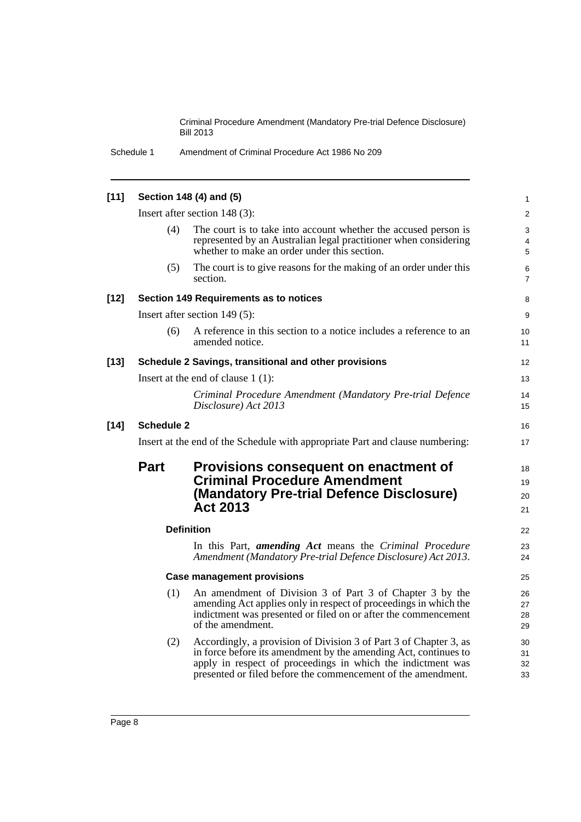Schedule 1 Amendment of Criminal Procedure Act 1986 No 209

| $[11]$ |                   | Section 148 (4) and (5)                                                                                                                                                                                                                                             | $\mathbf{1}$         |
|--------|-------------------|---------------------------------------------------------------------------------------------------------------------------------------------------------------------------------------------------------------------------------------------------------------------|----------------------|
|        |                   | Insert after section 148 (3):                                                                                                                                                                                                                                       | 2                    |
|        | (4)               | The court is to take into account whether the accused person is<br>represented by an Australian legal practitioner when considering<br>whether to make an order under this section.                                                                                 | 3<br>4<br>5          |
|        | (5)               | The court is to give reasons for the making of an order under this<br>section.                                                                                                                                                                                      | 6<br>7               |
| $[12]$ |                   | Section 149 Requirements as to notices                                                                                                                                                                                                                              | 8                    |
|        |                   | Insert after section 149 (5):                                                                                                                                                                                                                                       | 9                    |
|        | (6)               | A reference in this section to a notice includes a reference to an<br>amended notice.                                                                                                                                                                               | 10<br>11             |
| $[13]$ |                   | Schedule 2 Savings, transitional and other provisions                                                                                                                                                                                                               | $12 \overline{ }$    |
|        |                   | Insert at the end of clause $1(1)$ :                                                                                                                                                                                                                                | 13                   |
|        |                   | Criminal Procedure Amendment (Mandatory Pre-trial Defence<br>Disclosure) Act 2013                                                                                                                                                                                   | 14<br>15             |
| $[14]$ | <b>Schedule 2</b> |                                                                                                                                                                                                                                                                     | 16                   |
|        |                   | Insert at the end of the Schedule with appropriate Part and clause numbering:                                                                                                                                                                                       | 17                   |
|        | <b>Part</b>       | Provisions consequent on enactment of<br><b>Criminal Procedure Amendment</b><br>(Mandatory Pre-trial Defence Disclosure)<br><b>Act 2013</b>                                                                                                                         | 18<br>19<br>20<br>21 |
|        |                   | <b>Definition</b>                                                                                                                                                                                                                                                   | 22                   |
|        |                   | In this Part, <i>amending Act</i> means the <i>Criminal Procedure</i><br>Amendment (Mandatory Pre-trial Defence Disclosure) Act 2013.                                                                                                                               | 23<br>24             |
|        |                   | <b>Case management provisions</b>                                                                                                                                                                                                                                   | 25                   |
|        | (1)               | An amendment of Division 3 of Part 3 of Chapter 3 by the<br>amending Act applies only in respect of proceedings in which the<br>indictment was presented or filed on or after the commencement<br>of the amendment.                                                 | 26<br>27<br>28<br>29 |
|        | (2)               | Accordingly, a provision of Division 3 of Part 3 of Chapter 3, as<br>in force before its amendment by the amending Act, continues to<br>apply in respect of proceedings in which the indictment was<br>presented or filed before the commencement of the amendment. | 30<br>31<br>32<br>33 |